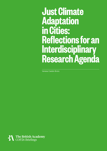# **Just Climate Adaptation in Cities: Reflections for an Interdisciplinary Research Agenda**

Vanesa Castán Broto

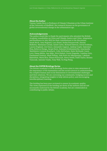#### **About the Author**

Vanesa Castán Broto is Professor of Climate Urbanism at the Urban Institute of the University of Sheffield. Her research focuses on the governance of global environmental change in the urbanisation age.

#### **Acknowledgements**

The author would like to thank the participants who attended the British Academy roundtables on Cities and Climate Justice and Cities, Adaptation and Resilience in July 2021 for their contributions to the discussion; Sarah Birch, Amy Bogaard, Lucy Bond, Stefan Bouzarovski, Harriet Bulkeley, Marianna Cavada, Sarah Curtis, Richard Dawson, David Dodman, Lauren England, Jon Ensor, Alexandre Gagnon, Jaideep Gupte, Saleemul Huq, Rebecca Ilunga, Jacqui Karn, Sukanya Krishnamurthy, Anaclaudia Marinheiro Centeno Rossbach, Colin McFarlane, Katie McQuaid, Caren Levy, Diana Mitlin, Ana Mijic, Nick Nisbett, Erwin Nugraha, Catalina Ortiz, Emmanuel Osuteye, Mark Pelling, João Porto de Albuquerque, Lakshmi Rajendran, Manoj Roy, Hanna Ruszczyk, Harry Smith, Faith Taylor, Renata Tyszczuk, Antonis Vradis, Tony Wall, Ya Ping Wang.

#### **About the COP26 Briefings Series**

The British Academy's COP26 Briefings Series aims to raise awareness of the importance of the humanities and the social sciences in understanding the complex human and social dimensions to environmental challenges and their solutions. We are convening our community, bridging sectors and disciplines, integrating insights to help inform policy, and encouraging interdisciplinary learning.

The briefing has been peer-reviewed to ensure its academic quality. The views expressed in the briefing are those of the authors and are not necessarily endorsed by the British Academy, but are commended as contributing to public debate.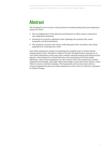### **Abstract**

The briefing focuses on three critical points for understanding what just adaptation means for cities:

- 1. The reconfiguration of the physical environment in urban areas to respond to new adaptation demands;
- 2. Demands for inclusive adaptation that challenge the systems that create inequality and discrimination;
- 3. The dynamics of power and action, reflecting upon who can deliver just urban adaptation in contemporary cities.

Just urban adaptation requires recognising the multiple ways in which climate change shapes cities, through its impacts but also through human responses to it. Just urban adaptation action must also consider existing housing and infrastructure legacies, often shaped by colonial histories and existing practices that enable habitation. Ideas of just adaptation are also closely tied to the production of urban adaptation knowledge, especially whose knowledge counts and whose doesn't count when it comes to decision-making. The humanities and social sciences drive a research agenda that puts just urban adaptation at the centre of collective responses to climate change.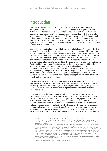#### **Introduction**

The contribution of Working Group I to the Sixth Assessment Report of the Intergovernmental Panel on Climate Change, published on 9 August 2021, states that human influence on the climate system is now 'an established fact', and its impacts are already apparent.<sup>1</sup> Urban areas will be affected directly (for example, by frequent extreme climate events, sea-level rise, and increased probability of flooding) and indirectly (for example, by large-scale ecosystem and social processes such as migration or disruption to supply chains). New findings on the relationship between regional and urban climate suggest that urbanization also exacerbates impacts such as heatwaves and precipitation.

Adaptation to climate change<sup>2</sup> will likely be a critical challenge for cities in the 21st century. Local and regional governments, businesses, and people will seek to protect lives, life opportunities, and material assets. Adaptation is also redefining the urban economy, with a new set of demands on maintaining safety. It poses new burdens in urban areas, although some people also find that adaptation creates opportunities, from those who see urban adaptation as a source of financial opportunities to those who link urban adaptation to the need to deliver fairer, more inclusive urban futures. The Global Commission on Adaptation argues that an investment of \$1.8 trillion from 2020 to 2030 could generate \$7.1 trillion in total net benefits.<sup>3</sup> Urban areas already require investments in climate-resilient infrastructure to improve services such as housing, transport, water, sanitation, drainage, and waste management. Whether or not urban areas can meet adaptation challenges, adaptation actions will have consequence. The differential impacts of adaptation on communities are already palpable across urban space.

Urban adaptation generates a new landscape of urban adaptation policies that intersects with the social infrastructure of cities. Increasing concerns about how inequality and discrimination shape adaptation possibilities, alongside questions about the aims and goals of adaptation, put justice at the center of debates on urban adaptation.<sup>4</sup>

Scholars within the humanities and social sciences are already contributing to understanding what just adaptation means for cities. The briefing focuses on three critical points of this discussion: the reconfiguration of the physical environment in urban areas to respond to new adaptation demands; the demands for inclusive adaptation that challenge the systems that create inequality and discrimination; and the dynamics of power and action, reflecting upon who can deliver just urban adaptation in contemporary cities. In conclusion, just urban adaptation requires recognising the multiple ways in which climate change shapes cities, through its impacts but also through human responses to it. Just urban adaptation action must

<sup>1</sup> IPCC (2021). *Climate Change 2021: The Physical Science Basis. Contribution of Working Group I to the Sixth Assessment Report of the Intergovernmental Panel on Climate Change* [Masson-Delmotte, V., P. Zhai, A. Pirani, S. L. Connors, C. Péan, S. Berger, N. Caud, Y. Chen, L. Goldfarb, M. I. Gomis, M. Huang, K. Leitzell, E. Lonnoy, J. B. R. Matthews, T. K. Maycock, T. Waterfield, O. Yelekçi, R. Yu and B. Zhou (eds.)], Cambridge University Press.

<sup>2</sup> The IPCC defines adaptation as follows: "In human systems, the process of adjustment to actual or expected climate and its effects, in order to moderate harm or exploit beneficial opportunities. In natural systems, the process of adjustment to actual climate and its effects; human intervention may facilitate adjustment to expected climate and its effects." In: IPCC, 2018: Annex I: Glossary [Matthews, J.B.R. (ed.)]. In: *Global Warming of 1.5°C. An IPCC Special Report on the impacts of global warming of 1.5°C above pre-industrial levels and related global greenhouse gas emission pathways, in the context of strengthening the global response to the threat of climate change, sustainable development, and efforts to eradicate poverty* [Masson-Delmotte, V., P. Zhai, H.-O. Pörtner, D. Roberts, J. Skea, P.R. Shukla, A. Pirani, W. Moufouma-Okia, C. Péan, R. Pidcock, S. Connors, J.B.R. Matthews, Y. Chen, X. Zhou, M.I. Gomis, E. Lonnoy, T. Maycock, M. Tignor, and T. Waterfield (eds.)]. Available at: https://www.ipcc.ch/sr15/chapter/glossary/

<sup>3</sup> Global Commission on Adaptation, G. C. o. A (2019). *Adapt now: a global call for leadership on climate resilience.* Groningen, Global Center on Adaptation and World Resources Institute.

<sup>4</sup> Shi, L., E. Chu, I. Anguelovski, A. Aylett, J. Debats, K. Goh, T. Schenk, K. C. Seto, D. Dodman and D. Roberts (2016). "Roadmap towards justice in urban climate adaptation research." *Nature Climate Change* 6(2): 131-137.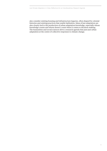also consider existing housing and infrastructure legacies, often shaped by colonial histories and existing practices that enable habitation. Ideas of just adaptation are also closely tied to the production of urban adaptation knowledge, especially whose knowledge counts and whose doesn't count when it comes to decision-making. The humanities and social sciences drive a research agenda that puts just urban adaptation at the centre of collective responses to climate change.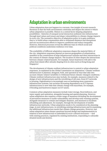### **Adaptation in urban environments**

Urban adaptation does not happen in a vacuum. One insight of recent research literature is that the built environment constrains and shapes the extent to which urban adaptation is possible. History is a central factor shaping adaptation possibilities—histories of unequal social interaction sediment into infrastructure through land values and tenure and shape vulnerabilities to climate change impacts in every city. The normative objective of adaptation policy is to gain resilience, that is, to build urban communities able to withstand disasters and disruptions and use reconstruction efforts to improve conditions and reduce inequality. However, historical processes reveal the different ways in which social and political conditions undermine resilience over time.

The availability of different adaptation responses shapes the material fabric of the city. Adaptation responses depend on uneven geographies of urbanization, manifest in the constitution of large infrastructure systems and their interactions in the context of climate change impacts. The location of cities shapes the interactions between climate-related hazards. For example, future heatwaves will add to the urban heat island effect already shaping lives in cities such as Hong Kong and Singapore.<sup>5</sup>

The development of climate-resilient infrastructure is central to urban adaptation responses, as explained in the Global Commission on Adaptation.<sup>6</sup> Climate-resilient infrastructure is planned, designed, built, and operated in ways that take into account climate-related variability to withstand future climate-changed conditions.<sup>7</sup> Climate-resilient infrastructure may include, for example, measures related to the design of new infrastructures and the retrofitting of old ones, from ICT networks to housing. Digitalization is increasingly seen as mediating more responsive infrastructure systems, but societies increasing dependence on ICT exposes infrastructures to new risks that climate change will exacerbate, for example, if flooding and heatwaves impact on ICT assets.

Common urban adaptation measures include water storage, flood defences, and water supply and sanitation, alongside housing and spatial planning. However, urban adaptation also requires a wider range of measures including the development of prevention measures to tackle vulnerability and develop early warning systems, alongside measures to contain and mitigate disasters, and measures to facilitate rebuilding and adjustment, for example, through the development of nimble infrastructure networks. Urban adaptation needs to be considered at the planning stage, in new infrastructures, in retrofitting existing infrastructures and in examining the additional infrastructure needs that climate change generates. However, just urban adaptation raises deeper questions beyond design and implementation in relation to how infrastructure is embedded in socio-cultural structures — tied with existing practices, regulated by existing institutions, responding to culturally situated needs and desires.

<sup>5</sup> IPCC (2021). *Climate Change 2021: The Physical Science Basis. Contribution of Working Group I to the Sixth Assessment Report of the Intergovernmental Panel on Climate Change* [Masson-Delmotte, V., P. Zhai, A. Pirani, S. L. Connors, C. Péan, S. Berger, N. Caud, Y. Chen, L. Goldfarb, M. I. Gomis, M. Huang, K. Leitzell, E. Lonnoy, J. B. R. Matthews, T. K. Maycock, T. Waterfield, O. Yelekçi, R. Yu and B. Zhou (eds.)], Cambridge University Press.

<sup>6</sup> The summary for example states "The report's authors suggest that upgrading living conditions in vulnerable communities which might mean improving housing, water, sanitation, drainage, and waste management — will build resilience and strengthen their adaptive capacity."

<sup>7</sup> OECD (2018). 'Climate-resilient Infrastructure', *OECD ENVIRONMENT POLICY PAPER NO. 14.* Paris, OECD.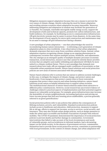Mitigation measures support adaptation because they are a means to prevent the root causes of climate change, thereby reducing the need for future adaptation and avoiding extreme scenarios where adaptation becomes impossible. Moreover, addressing mitigation and adaptation in tandem may facilitate the generation of co-benefits. For example, renewable microgrids enable energy access, support the development of jobs and technical capacity, promote low carbon infrastructure, and build resilience, for example, by facilitating access to communication infrastructure. Off-grid electricity systems may be easier to protect from disasters. At the same time, the development of local capacity for micro-grid construction and maintenance may be an asset to manage off-grid infrastructure during a disaster.

A new paradigm of urban adaptation — one that acknowledges the need for reconsidering human-nature interactions — is informing a new generation of climate adaptation plans in cities worldwide. A key observation is that urban adaptation demands responses that move away from a problem-solution frame. Instead, urban adaptation requires recognizing climate change as an ongoing phenomenon in contemporary societies that requires multiple actions, feedbacks, and adjustments. The city emerges as an emergent quality of multiple dynamic processes (economic transaction, social interaction, resource use) that cannot be entirely future-proofed. Actions that are adaptive and enable rethinking and adjustment will likely be more suited to a climate-resilient future. This is a new paradigm that demands new research about how trade-offs are managed under conditions of uncertainty so that vulnerable urban populations benefit. Nature-based solutions and social protection policies are new areas of interest associated with this paradigm.

Nature-based solutions refer to actions that use nature to address societal challenges, in this case, to mitigate the impacts of climate change, and protect nature and biodiversity. From mangroves that protect coastal cities to forest restoration programs that protect water reserves and urban farming initiatives, nature-based solutions recast nature as helpful infrastructure to support urban societies. The multifunctional character of nature-based solutions makes them attractive to different policy constituencies. However, social research has uncovered evidence of challenges related to practical aspects of implementation and their potential negative impacts on vulnerable social groups. For example, green infrastructures may increase the desirability of certain neighbourhoods, increasing land prices and pricing out lower-income groups that find new housing prices unaffordable, a process generally referred to as green gentrification.<sup>8</sup>

Social protection policies refer to any policies that address the consequences of lifelong exclusion, poverty, and vulnerability. Standard social protection policies include access to healthcare and education, child protection, measures to support life at old age, efforts to support low incomes, access to services, social security, and insurance. They may also include urban design policies, such as design measures to make the urban space accessible and facilitate evacuations of people with reduced mobility. The COVID-19 pandemic demonstrated the importance of social protection policies to prevent deaths and further damage in communities. Government interventions that failed to take account of the local circumstances and needs of vulnerable groups, such as lockdowns in informal markets, had a devastating impact on the whole society. In the absence of government services, communities themselves had to provide those social protection services, sometimes in partnership with local governments. In the context of climate change, just urban adaptation will

<sup>8</sup> Xie. L (2021) *Valuing Inclusion and Diversity, Embracing Uncertainty: Ways Forward for Nature-based Solutions*. The British Academy; Mabon. L (2021) *Nature-Based Solutions and the Green Economy.* The British Academy.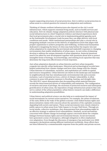require supporting structures of social protection. How to deliver social protection in urban areas is a central question for research on adaptation and resilience.

Thinking of climate-resilient infrastructures also depend on the city's social infrastructure, which supports essential living needs, such as health services and education. How do climate change adaptation policies intersect with physical and social infrastructures in cities? Empirical evidence and shared experiences show that local governments play a crucial role in implementing global agendas such as the Sustainable Development Goals because they can align delivery with local conditions and needs.<sup>9</sup> Multi-institutional partnerships also play a crucial role in integrating multiple concerns in the delivery of adaptation action that aligns with people's aspirations to achieve prosperity and wellbeing. Architectural humanities dedicated to imagining the future of cities may help further the inquiry into just urban adaptation by examining the provisional and makeshift responses to changing environments that enable inhabitation of urban space. As new styles of planning develop to address the unique demands of urban adaptation, financial questions need to be asked for new development together with questions about how to protect intangible forms of heritage, local knowledge, and existing local capacities that may determine the long-term effectiveness of local responses.

Just urban adaptation depends on urban histories and how urban inequality congeals into specific urban landscapes. Historical and archaeological records have helped understand how climate changes and how cities change with the climate. Urban histories of colonialism, exclusion, and exploitation are visible in spatial and resource inequalities. Urban histories are drawn in the landscape and manifest in neighbourhoods that face simultaneously environmental risk and economic exclusion. Lack of essential services, a driver of climate vulnerability, is often common in areas with greater exposure to flooding, heating, and drought risks. The 2021 IPCC report demonstrates that documenting urban material histories reveals the interconnected drivers of vulnerability and emissions. The configuration of enclaves and areas of privilege, the enclosure of protected enclaves and subsequent gentrification of urban areas, the imposition of large infrastructure projects that only serve a subset of the urban population: urban history research can make a difference in understanding adaptation possibilities.

Urban history and political science can also help us to understand the impact of social movements on current action narratives. For example, the urban revolutions of the early 2010s in the wake of the global economic crisis linked human rights and democratization claims with concerns about the operation of the capitalist economy, degrading both society and nature. These social movements were closely related to public spaces in urban areas from Tahir Square to Occupy Wall Street. Through art, social media, collective workshops, they demonstrated how placemaking might be an effective strategy to address local vulnerabilities. Similarly, social movements concerned with climate change increasingly appear concerned about the complex linkages between human rights and environmental threats. Social movements have generated a sense of emergency, although mitigation is often emphasised over adaptation. Even though the discourse of emergency has motivated over 2000 emergency declarations among different institutions worldwide, these efforts have not been followed by a commensurable response from the public and private sectors.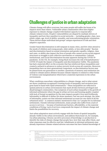### **Challenges of justice in urban adaptation**

Climate change will affect everyone, but some people will suffer the brunt of its impacts more than others. Vulnerable urban communities often have higher exposure to climate change coupled with limited capacity to respond after climate-related events. People's vulnerabilities are shaped by multiple drivers of inequality and how they manifest in social networks — including gender, class, race, ethnic origin, age, level of ability, sexuality, and nonconforming gender orientation. These drivers shape individual and groups' unique experiences of risk and their adaptive capacities.

Gender-based discrimination is still rampant in many cities, and few cities attend to the needs of children and young people, older adults, or less-able people.<sup>10</sup> Racism and discrimination based on sexual orientation and gender equality, religion, class and caste, or ability also impact the lives of people who cannot access social support structures or struggle to join collective movements or communities. Cultural, institutional, and social discrimination became apparent during the COVID-19 pandemic. In the UK, for example, being black increases the risk of hospitalization.<sup>11</sup> COVID-19 made the impact of inequality and discrimination visible. The pandemic has had a material effect on the economy that has reinforced these inequalities and created a setback in advances to reduce poverty levels across all countries. Moreover, inequalities have an inter-generational component, as discrimination factors may be passed from one generation to another. Questions of memory and restitution are central to climate justice debates because climate injustice is related to other forms of violence and marginalization which have a material expression in the urban environment.

What conditions exacerbate vulnerabilities to climate change, and to what extent are those conditions recognized? Growing levels of inequality and exclusion have gone hand in hand with rapid urbanization.<sup>12</sup> These inequalities are reflected in spatial patterns in urban environments that mark divides between privileged and disadvantaged communities. One symptom of such urban inequality is the growth of informal settlements where the gap in urban services and housing quality coupled with lack of formal recognition by the state impacts people's lives and livelihoods. Informality is difficult to define (let alone measure), but one such attempt, the Atlas of Informality, points out that informal settlements account for one-third of all the urbanized areas.<sup>13</sup> A common statistic mentioned is that 1 in 7 people live in informal settlements. Outside informal settlements, many people also suffer from a lack of access to services — because of institutional barriers, affordability, or the material conditions of living. Lack of services compounds the impact of climate change and limits the possibilities for recovery.

Just urban adaptation must actively engage with the forms of spatial inequality already visible in the urban environment, and address them head-on, for example, via urban planning. Citizens can drive processes of knowledge co-production to identify the risks of climate change that people face, how they may affect them, and what responses may be effective and fair. Inhabitants in informal settlements may already experience climate-related adverse outcomes but have limited knowledge of

<sup>10</sup> See also policy evidence from Barford, A., Proefke, R., Mugeere, A., Stocking, B. (2021) *Young people and climate change.* The British Academy.

<sup>11</sup> CDC (2021) *Disparities in COVID-19-Associated Hospitalizations. Racial and Ethnic Health Disparities. Centers for Disease Control and Prevention.* Available at: https://www.cdc.gov/coronavirus/2019-ncov/community/health-equity/racial-ethnic-disparities/disparitieshospitalization.html

<sup>12</sup> UN-Habitat (2020). *World Cities Report 2020: The Value of Sustainable Urbanization.* Nairobi, UN-Habitat*.*

<sup>13</sup> *Atlas of informality* available at: https://www.atlasofinformality.com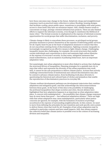how those outcomes may change in the future. Relatively cheap and straightforward responses (such as practical waste collection to reduce flooding, housing designs that facilitate cooling, green public space, transitions to streetlights with solar power, access to clean fuels) may have an enormous impact. Still, climate finance tends to concentrate on large, prestige-oriented infrastructure projects. There are also limited efforts to support the informal economy, even though it constitutes the lifeblood of many cities.<sup>14</sup> The formal economy is emphasized at the expense of informal economy opportunities for social groups that suffer discrimination, exclusion, and poverty.

Climate change is likely to exacerbate these processes, as privileged social groups prioritise measures to protect themselves at the expense of delivering public services for all. Equity must be put at the heart of adaptation measures to ensure that they do not exacerbate existing forms of discrimination. Fighting economic inequality is increasingly recognised as an effective means to fight climate change. Challenging inequality means also challenging, for example, the social structures that enable certain individuals and corporations to drive and maintain high carbon lifestyles at the expense of everyone's security. In that sense, mitigation measures that entail redistribution, such as taxation of polluting behaviours, have an important adaptation value.

Not surprisingly, just urban adaptation is most often linked to actions that challenge the structural drivers of inequalities. Planning strategies for a spatially just city in ways that reflect and represent the diversity of the urban population may work. Still, it cannot be the sole proposition to deliver climate justice. Actions that actively challenge entrenched forms of institutional and cultural discrimination may also be central to advance climate justice, from facilitating work place diversity to questioning the historical and cultural basis of cliches and prejudices that enable the reproduction of discriminatory practices in everyday life.

Climate-resilient development pathways are development trajectories that combine adaptation and mitigation goals, and that acknowledge the interconnectedness between those goals. At the heart of this idea is the possibility of challenging the profound inequalities that shape societies and cities. Recent debates have highlighted that how adaptation happens is as important as what adaptation takes place. A concern with maladaptation — the possibility that climate change responses may do more harm than good — has influenced adaptation debates.<sup>15</sup> There are high risks that urban adaptation may cause maladaptation, particularly when justice concerns are ignored, for example, with the formation of enclaves of privilege securitized at the expense of surrounding neighbourhoods. In this context, we need to move from defining the principles for just transition and seek specific entry points to deliver future cities that work for all. Examples of just urban adaptation may be confined to particular contexts and have small impacts. Still, they always support the collective belief that climate justice is possible even in the context of increasing division and inequality.

<sup>14</sup> UN-Habitat (2020). *World Cities Report 2020: The Value of Sustainable Urbanization.* Nairobi, UN-Habitat.

<sup>15</sup> Eriksen, S., E., Schipper, L. F., Scoville-Simonds, M., Vincent, K., Adam, H. N., Brooks, N., Harding, B., Lenaerts, L., Liverman, D., and Mills-Novoa, M. (2021). "Adaptation interventions and their effect on vulnerability in developing countries: Help, hindrance or irrelevance?" *World Development* 141: 105383.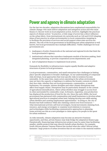### **Power and agency in climate adaptation**

For the last two decades, adaptation discussions have emphasized responsibility for climate change: who must deliver adaptation and mitigation action and who must finance it. Recent work on local adaptation action, however, highlights the practical aspects of climate action.<sup>16</sup> In practice, a wide range of actors has a direct influence on the urban fabric, from international city networks such as C40 and ICLEI (shaping ideas of best practice in urban environments) to local communities (stepping in to facilitate the provision of services and social support when state services are absent). The role of the local government in facilitating just urban adaptation is well known, but local governments face multiple difficulties. Visible challenges for local governments are:

- 1. inadequacy of policy frameworks at the national and regional levels that limit the local government's agency;
- 2. institutional cultures that reproduce inadequate models of decision making, limit integrated planning, or prevent cooperation across departments; and
- 3. lack of adaptation finance to implement local action.

Demands for flexibility in infrastructures require equally flexible and adaptive structures of power in local governance.

Local governments, communities, and small enterprises face challenges in linking place-specific adaptation to broader challenges. As our understanding of compound risks develops, local approaches that treat specific risks in isolation become untenable. At the same time, many actors operating in the urban environment may not have the capacity or legitimacy to address the broader contexts in which they face risks, whether they are local governments, communities, or small businesses. For example, intense droughts and other climate disruptions may affect food supply chains. Disruptions may be particularly dramatic in the context of agricultural intensification, where urban dwellers may struggle to access food in cities surrounded by commodity crops. In Rosario, Argentina, soya production has displaced the production of food for the city. Since the early 2000s, the local government has partnered with communities and small businesses to develop urban agricultural practices in marginal urban land, helping develop new skills among urban dwellers and creating employment opportunities.<sup> $\sigma$ </sup> In doing so, the city of Rosario has built resilience while also claiming control over food resources what international activists call food sovereignty. Social movements claiming food, resource, and energy sovereignty re-examine local relations to resources and technologies while facilitating communicative approaches to planning. Some activists see this as a new paradigm to claim agency for people in the quest for urban resilience.

As risks intensify, climate adaptation may become an attractive business opportunity, and thus, private finance may help bridge the adaptation finance gap. Paradoxically, financing large infrastructure projects may be easier than facilitating smaller, nimble projects that may directly benefit urban dwellers. For example, South African planner Vanessa Watson has tracked what she called 'African urban fantasies:' large projects of urban invention that do not relate to the material realities

<sup>16</sup> Castán Broto, V. and Westman, L. (2021) *From Asking Why to Thinking How: Emerging Challenges for Urban Climate Action.* The British Academy.

<sup>17</sup> Sustainable Food Production for a Resilient Rosario won the 2020-2021 Prize for Cities on June 29, 2021. Additional information can be found here: https://www.wri.org/insights/rosario-urban-farming-tackles-climate-change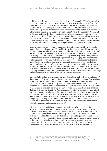of life in cities, let alone challenge existing drivers of inequality.<sup>18</sup> The fixation with smart cities has also displaced organic models of urban development in favour of fantasies of urban control that invariably entail the deployment of information and communication technologies, with scant attention to the additional risks that such technologies generate. There is a risk that large investment programmes focused on infrastructure, such as the Green New Deal in the US and the European Green Deal in Europe, facilitate the deployment of large infrastructure projects at the expense of new alternatives of nimble and locally managed projects that could advance just urban adaptation. In the light of historical evidence about the long-term evolution of climate change during the industrialization period, there is growing scepticism about short-term responses that end up creating intractable long-term problems.

Large investments led by large companies with limited oversight from the public sector often result in additional hardships for vulnerable communities who see their livelihoods and social worlds disrupted. In addition, such approaches often overlook the opportunities to develop resilience already present in the urban environment. For example, in the context of informality, many people may resort to improvisation and makeshift infrastructures adapting to constantly changing urban settings and building models of urban development that may prove to be robust over the long term. Neighbourhood management groups in different parts of the world already provide collective services from running children's groups, providing security to the community, and allocating collective responsibilities. Such modes of innovation may be a more effective way to deliver just urban adaptation and reach scale through engaging citizens, communities, small enterprises, local institutions, and knowledge intermediaries such as universities, NGOs, and city networks.

As argued above, just urban adaptation also depends on facilitating the inclusion of those sectors of the urban population that are systematically excluded from decision making. Those who suffer discrimination often struggle to influence the policy decisions that affect them directly. While there is a consensus about the need for inclusive urban policy, there is less agreement about what it would mean to facilitate such inclusion. The local government may provide an intermediary level of action that can facilitate participation. Public requests for climate justice have also raised interest in broader involvement, for example, in Climate Assemblies or Citizen Juries — though the effectiveness of these participatory forums is still not apparent, as they primarily operate as advisory rather than executive institutions. Participatory budgeting could help build resilience but there are no empirical examples to demonstrate its effectiveness. Litigation may also be an essential route to contest adaptation actions and propose new ones.<sup>19</sup>

Climate justice has a vital component of recognition and due participation, something long recognized in the research literature on environmental justice.<sup>20</sup> Urban scholars have put justice-oriented research at the centre of environmental action. Philosophers have raised complex questions about the extent to which existing processes of knowledge production are subject to epistemic injustice  $^{21}$  that too often shapes processes of decision making and even the general understanding of the world and what is to be done — gaining agency to respond to the extreme situations under climate change requires producing and claiming relevant knowledge that bridges future climate change impacts with local experiences.

<sup>18</sup> Watson, V., 2014. 'African urban fantasies: dreams or nightmares?' *Environment and Urbanization,* 26(1), pp.215-231.

<sup>19</sup> Bouwer, K. and Setzer, J. (2021) *Climate litigation as climate activism: what works?* The British Academy.

<sup>20</sup> Agyeman, J. (2014). 'Environmental justice and sustainability.' *Handbook of sustainable development*, Edward Elgar Publishing.

<sup>21</sup> Fricker, M. (2007). *Epistemic injustice: Power and the ethics of knowing,* Oxford University Press.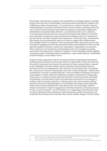Knowledge coproduction recognizes the possibilities of bringing together multiple perspectives and types of knowledge to develop actions that improve equality and wellbeing in urban environments.<sup>22</sup> Co-production is a means to build a common understanding of a problem and deliver more creative means to thinking about the city. It relies on both informal and formal mechanisms of equitable engagement, collaboration and partnership. However, co-production alone is not a panacea. Co-production processes face the same power dynamics that influence social life, and vulnerable communities may see themselves playing a role in co-production process that do not fully recognize their capacities. At the same time, communities that already face discrimination may not be able to engage with collaborations that endanger them. For example, some communities have expressed concern that community mapping exercises may facilitate further discrimination if they provide data that enables evictions or shows the community's dependency on resources. These tensions in the production of knowledge need to be navigated accepting uncertainty, focusing on the creation of collective visions through working together, setting precedents, building political capabilities, create unlike alliances, mobilising cultural heritage, and an ethics of care.

Inclusive urban adaptation calls for moving away from victimizing communities, looking instead towards the structural causes of vulnerability on the one hand and the need for measures that harness the potential of those communities to respond to the challenges of climate change. Heroic narratives that dominate Western literature prevent our engagement with collective-led narratives that can mediate the construction of future communities and multi-scalar solidarities.<sup>23</sup> Rather than searching for a saviour (a daring politician, a new incredible technology) we need to work together to build collective solidarities capable to withstand the rising tides. Urban areas, as centres of action and innovation for social movements and urban communities, provide spaces where such alternative perspectives can emerge to reclaim collective human capacities. Climate justice also raises broader political questions about the enduring legacies of colonialism that shape urban inequality today and increasing demands for racial justice that are increasingly visible in climate movements. Creative engagements with black futurism, feminist practices of care, or queer research<sup> $24$ </sup> are an invitation to re-examining social structures that we take for granted (white supremacy, heteropatriarchy, gender stereotypes) and constitute the societies and economies that caused climate change in the first place.

<sup>22</sup> Hemström, K., Simon, D., Palmer, H., Perry, B., and Polk, M. (2021) *Transdisciplinary Knowledge Co-production: A Guide for Sustainable Cities,* UK: Practical Action Publishing http://dx.doi.org/10.3362/9781788531481

<sup>23</sup> Gosh, A. (2016). *The Great Derangement: Climate Change and the Unthinkable*. Chicago, University of Chicago Press. 24 See for example: Patrizio, A., (2020). 'Ecologies of feminism and the queer'. In *The Ecological Eye* (pp. 60-76). Manchester University Press.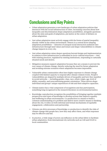## **Conclusions and Key Points**

- Urban adaptation generates a new landscape of urban adaptation policies that intersects with the social infrastructure of cities. Increasing concerns about how inequality and discrimination shape adaptation possibilities, alongside questions about the aims and goals of adaptation, put justice at the center of debates on urban adaptation.
- Just urban adaptation must actively engage with the forms of spatial inequality already visible in the urban environment. History is a central factor shaping adaptation possibilities — histories of unequal social interaction sediment into infrastructure through land values and tenure and shape vulnerabilities to climate change impacts in every city.
- Just urban adaptation raises deeper questions beyond design and implementation in relation to how infrastructure is embedded in socio-cultural structures — tied with existing practices, regulated by existing institutions, responding to culturally situated needs and desires.
- Mitigation measures support adaptation because they are a means to prevent the root causes of climate change, thereby reducing the need for future adaptation and avoiding extreme scenarios where adaptation becomes impossible.
- Vulnerable urban communities often have higher exposure to climate change coupled with limited capacity to respond after climate-related events. People's vulnerabilities are shaped by multiple drivers of inequality and how they manifest in social networks — including gender, class, race, ethnic origin, age, level of ability, sexuality, and nonconforming gender orientation. These drivers shape individual and groups' unique experiences of risk and their adaptive capacities.
- Climate justice has a vital component of recognition and due participation, something long recognized in the research literature on environmental justice.
- Knowledge coproduction recognizes the possibilities of bringing together multiple perspectives and types of knowledge to develop actions that improve equality and wellbeing in urban environments. Co-production is a means to build a common understanding of a problem and deliver more creative means to thinking about the city. It relies on both informal and formal mechanisms of equitable engagement, collaboration and partnership.
- Citizens can drive processes of knowledge co-production to identify the risks of climate change that people face, how they may affect them, and what responses may be effective and fair.
- In practice, a wide range of actors can influence on the urban fabric to facilitate urban adaptation, from international city networks such as C40 and ICLEI to local communities.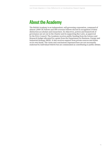# **About the Academy**

The British Academy is an independent, self-governing corporation, composed of almost 1,000 UK Fellows and 300 overseas Fellows elected in recognition of their distinction as scholars and researchers. Its objectives, powers and framework of governance are set out in the Charter and its supporting Bye-Laws, as approved by the Privy Council. The Academy receives public funding from the Science and Research budget allocated by a grant from the Department for Business, Energy and Industrial Strategy (BEIS). It also receives support from private sources and draws on its own funds. The views and conclusions expressed here are not necessarily endorsed by individual Fellows but are commended as contributing to public debate.